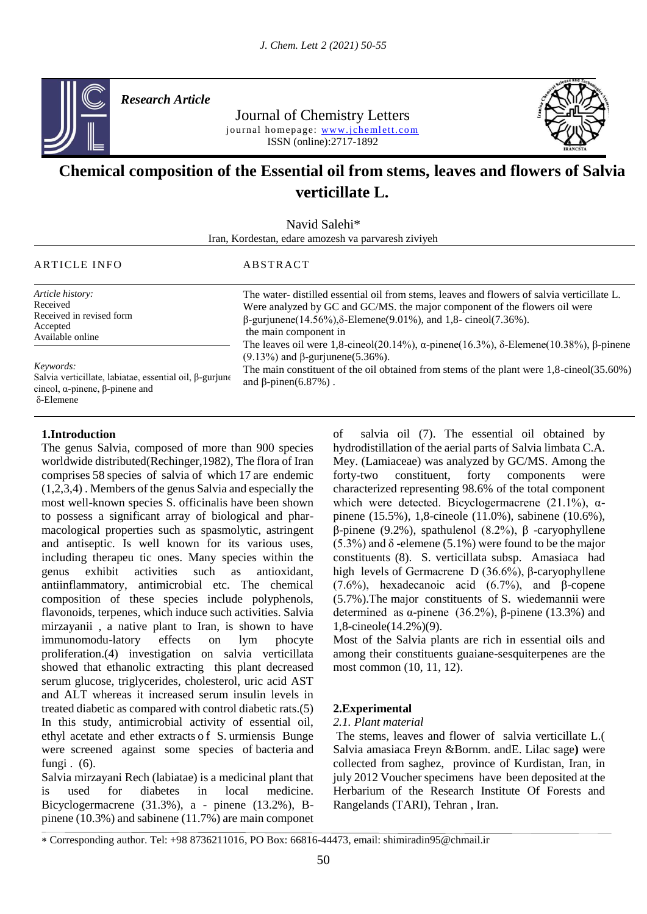

*Research Article* 

Journal of Chemistry Letters journal homepage: www.jchemlett.com ISSN (online):2717-1892



# **Chemical composition of the Essential oil from stems, leaves and flowers of Salvia verticillate L.**

Navid Salehi\* Iran, Kordestan, edare amozesh va parvaresh ziviyeh

#### ARTICLE INFO ABSTRACT

and  $\beta$ -pinen(6.87%).

| The water-distilled essential oil from stems, leaves and flowers of salvia verticillate L.<br>Were analyzed by GC and GC/MS, the major component of the flowers oil were<br>$\beta$ -gurjunene(14.56%), $\delta$ -Elemene(9.01%), and 1,8-cineol(7.36%).<br>the main component in<br>The leaves oil were 1,8-cineol(20.14%), $\alpha$ -pinene(16.3%), $\delta$ -Elemene(10.38%), $\beta$ -pinene<br>$(9.13%)$ and β-gurjunene(5.36%). |
|---------------------------------------------------------------------------------------------------------------------------------------------------------------------------------------------------------------------------------------------------------------------------------------------------------------------------------------------------------------------------------------------------------------------------------------|
|                                                                                                                                                                                                                                                                                                                                                                                                                                       |
|                                                                                                                                                                                                                                                                                                                                                                                                                                       |

*Keywords:*

Salvia verticillate, labiatae, essential oil, β-gurjune cineol, α-pinene, β-pinene and δ-Elemene

#### **1.Introduction**

The genus Salvia, composed of more than 900 species worldwide distributed(Rechinger,1982), The flora of Iran comprises 58 species of salvia of which 17 are endemic (1,2,3,4) . Members of the genus Salvia and especially the most well-known species S. officinalis have been shown to possess a significant array of biological and pharmacological properties such as spasmolytic, astringent and antiseptic. Is well known for its various uses, including therapeu tic ones. Many species within the genus exhibit activities such as antioxidant, antiinflammatory, antimicrobial etc. The chemical composition of these species include polyphenols, flavonoids, terpenes, which induce such activities. Salvia mirzayanii , a native plant to Iran, is shown to have immunomodu-latory effects on lym phocyte proliferation.(4) investigation on salvia verticillata showed that ethanolic extracting this plant decreased serum glucose, triglycerides, cholesterol, uric acid AST and ALT whereas it increased serum insulin levels in treated diabetic as compared with control diabetic rats.(5) In this study, antimicrobial activity of essential oil, ethyl acetate and ether extracts o f S. urmiensis Bunge were screened against some species of bacteria and fungi . (6).

Salvia mirzayani Rech (labiatae) is a medicinal plant that is used for diabetes in local medicine. Bicyclogermacrene (31.3%), a - pinene (13.2%), Bpinene (10.3%) and sabinene (11.7%) are main componet of salvia oil (7). The essential oil obtained by hydrodistillation of the aerial parts of Salvia limbata C.A. Mey. (Lamiaceae) was analyzed by GC/MS. Among the forty-two constituent, forty components were characterized representing 98.6% of the total component which were detected. Bicyclogermacrene (21.1%),  $\alpha$ pinene (15.5%), 1,8-cineole (11.0%), sabinene (10.6%), β-pinene (9.2%), spathulenol (8.2%), β -caryophyllene  $(5.3\%)$  and  $\delta$  -elemene  $(5.1\%)$  were found to be the major constituents (8). S. verticillata subsp. Amasiaca had high levels of Germacrene D (36.6%), β-caryophyllene (7.6%), hexadecanoic acid (6.7%), and β-copene (5.7%).The major constituents of S. wiedemannii were determined as α-pinene (36.2%), β-pinene (13.3%) and 1,8-cineole(14.2%)(9).

The main constituent of the oil obtained from stems of the plant were 1,8-cineol(35.60%)

Most of the Salvia plants are rich in essential oils and among their constituents guaiane-sesquiterpenes are the most common (10, 11, 12).

#### **2.Experimental**

#### *2.1. Plant material*

The stems, leaves and flower of salvia verticillate L.( Salvia amasiaca Freyn &Bornm. andE. Lilac sage**)** were collected from saghez, province of Kurdistan, Iran, in july 2012 Voucher specimens have been deposited at the Herbarium of the Research Institute Of Forests and Rangelands (TARI), Tehran , Iran.

Corresponding author. Tel: +98 8736211016, PO Box: 66816-44473, email: shimiradin95@chmail.ir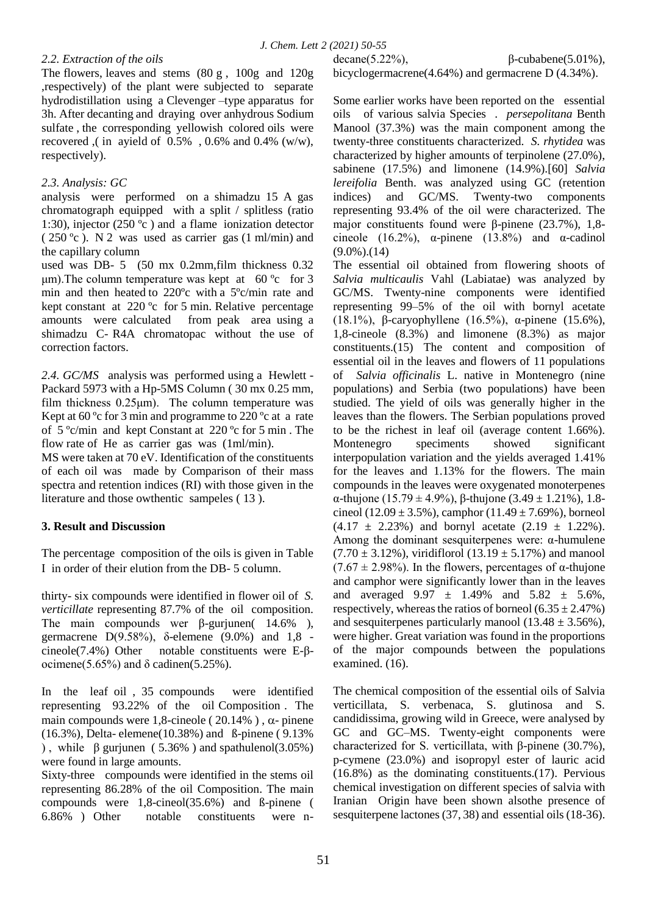### *2.2. Extraction of the oils*

The flowers, leaves and stems (80 g , 100g and 120g ,respectively) of the plant were subjected to separate hydrodistillation using a Clevenger –type apparatus for 3h. After decanting and draying over anhydrous Sodium sulfate , the corresponding yellowish colored oils were recovered ,( in ayield of 0.5% , 0.6% and 0.4% (w/w), respectively).

## *2.3. Analysis: GC*

analysis were performed on a shimadzu 15 A gas chromatograph equipped with a split / splitless (ratio 1:30), injector (250 ºc ) and a flame ionization detector  $(250 \degree c)$ . N 2 was used as carrier gas  $(1 \text{ ml/min})$  and the capillary column

used was DB- 5 (50 mx 0.2mm,film thickness 0.32 μm). The column temperature was kept at  $60^{\circ}$ c for 3 min and then heated to 220ºc with a 5ºc/min rate and kept constant at 220 ºc for 5 min. Relative percentage amounts were calculated from peak area using a shimadzu C- R4A chromatopac without the use of correction factors.

*2.4. GC/MS*analysis was performed using a Hewlett - Packard 5973 with a Hp-5MS Column ( 30 mx 0.25 mm, film thickness 0.25μm). The column temperature was Kept at  $60^{\circ}$ c for 3 min and programme to  $220^{\circ}$ c at a rate of 5 ºc/min and kept Constant at 220 ºc for 5 min . The flow rate of He as carrier gas was (1ml/min).

MS were taken at 70 eV. Identification of the constituents of each oil was made by Comparison of their mass spectra and retention indices (RI) with those given in the literature and those owthentic sampeles ( 13 ).

# **3. Result and Discussion**

The percentage composition of the oils is given in Table I in order of their elution from the DB- 5 column.

thirty- six compounds were identified in flower oil of *S. verticillate* representing 87.7% of the oil composition. The main compounds wer  $\beta$ -gurjunen( 14.6%), germacrene  $D(9.58%)$ , δ-elemene  $(9.0%)$  and  $1.8$  cineole(7.4%) Other notable constituents were E-βocimene(5.65%) and  $\delta$  cadinen(5.25%).

In the leaf oil , 35 compounds were identified representing 93.22% of the oil Composition . The main compounds were 1,8-cineole ( $20.14\%$ ),  $\alpha$ -pinene (16.3%), Delta- elemene(10.38%) and ß-pinene ( 9.13% ), while β gurjunen (5.36%) and spathulenol(3.05%) were found in large amounts.

Sixty-three compounds were identified in the stems oil representing 86.28% of the oil Composition. The main compounds were 1,8-cineol(35.6%) and ß-pinene ( 6.86% ) Other notable constituents were ndecane(5.22%),  $\beta$ -cubabene(5.01%),

bicyclogermacrene(4.64%) and germacrene D (4.34%).

Some earlier works have been reported on the essential oils of various salvia Species . *persepolitana* Benth Manool (37.3%) was the main component among the twenty-three constituents characterized. *S. rhytidea* was characterized by higher amounts of terpinolene (27.0%), sabinene (17.5%) and limonene (14.9%).[60] *Salvia lereifolia* Benth. was analyzed using GC (retention indices) and GC/MS. Twenty-two components representing 93.4% of the oil were characterized. The major constituents found were β-pinene (23.7%), 1,8 cineole (16.2%),  $\alpha$ -pinene (13.8%) and  $\alpha$ -cadinol (9.0%).(14)

The essential oil obtained from flowering shoots of *Salvia multicaulis* Vahl (Labiatae) was analyzed by GC/MS. Twenty-nine components were identified representing 99–5% of the oil with bornyl acetate (18.1%), β-caryophyllene (16.5%), α-pinene (15.6%), 1,8-cineole (8.3%) and limonene (8.3%) as major constituents.(15) The content and composition of essential oil in the leaves and flowers of 11 populations of *Salvia officinalis* L. native in Montenegro (nine populations) and Serbia (two populations) have been studied. The yield of oils was generally higher in the leaves than the flowers. The Serbian populations proved to be the richest in leaf oil (average content 1.66%). Montenegro speciments showed significant interpopulation variation and the yields averaged 1.41% for the leaves and 1.13% for the flowers. The main compounds in the leaves were oxygenated monoterpenes α-thujone (15.79 ± 4.9%), β-thujone (3.49 ± 1.21%), 1.8 cineol (12.09  $\pm$  3.5%), camphor (11.49  $\pm$  7.69%), borneol  $(4.17 \pm 2.23\%)$  and bornyl acetate  $(2.19 \pm 1.22\%)$ . Among the dominant sesquiterpenes were:  $\alpha$ -humulene  $(7.70 \pm 3.12\%)$ , viridiflorol  $(13.19 \pm 5.17\%)$  and manool (7.67  $\pm$  2.98%). In the flowers, percentages of  $\alpha$ -thujone and camphor were significantly lower than in the leaves and averaged  $9.97 \pm 1.49\%$  and  $5.82 \pm 5.6\%$ , respectively, whereas the ratios of borneol  $(6.35 \pm 2.47\%)$ and sesquiterpenes particularly manool (13.48  $\pm$  3.56%), were higher. Great variation was found in the proportions of the major compounds between the populations examined. (16).

The chemical composition of the essential oils of Salvia verticillata, S. verbenaca, S. glutinosa and S. candidissima, growing wild in Greece, were analysed by GC and GC–MS. Twenty-eight components were characterized for S. verticillata, with β-pinene (30.7%), p-cymene (23.0%) and isopropyl ester of lauric acid (16.8%) as the dominating constituents.(17). Pervious chemical investigation on different species of salvia with Iranian Origin have been shown alsothe presence of sesquiterpene lactones (37, 38) and essential oils (18-36).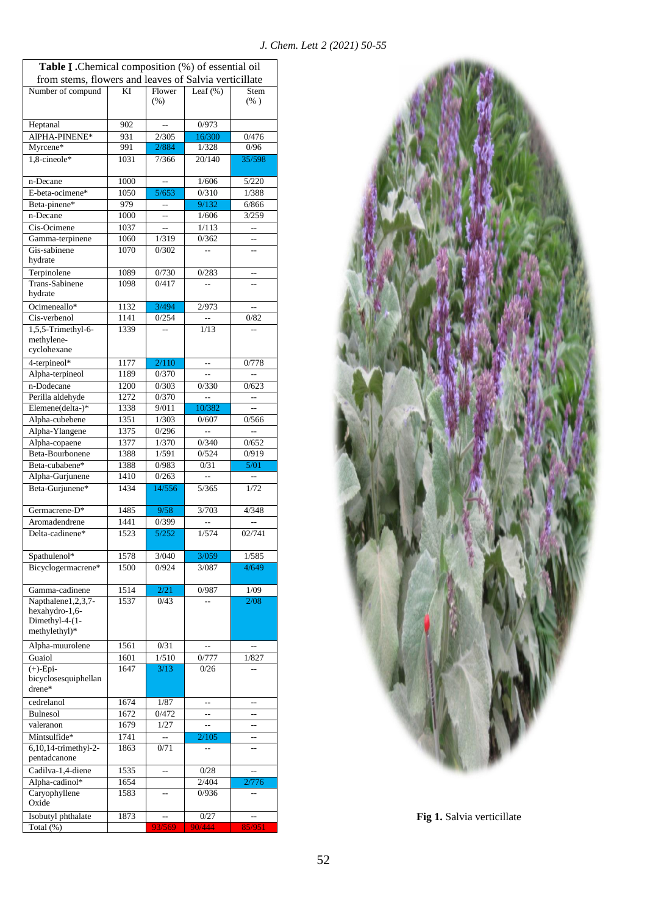| <b>Table I</b> . Chemical composition (%) of essential oil<br>from stems, flowers and leaves of Salvia verticillate |      |                          |                |                      |
|---------------------------------------------------------------------------------------------------------------------|------|--------------------------|----------------|----------------------|
| Number of compund                                                                                                   | ΚI   | Flower<br>(% )           | Leaf $(\%)$    | Stem<br>(% )         |
| Heptanal                                                                                                            | 902  | $\overline{a}$           | 0/973          |                      |
| AlPHA-PINENE*                                                                                                       | 931  | 2/305                    | 16/300         | 0/476                |
| Myrcene*                                                                                                            | 991  | 2/884                    | 1/328          | 0/96                 |
| 1,8-cineole*                                                                                                        | 1031 | 7/366                    | 20/140         | 35/598               |
| n-Decane                                                                                                            | 1000 |                          | 1/606          | 5/220                |
| E-beta-ocimene*                                                                                                     | 1050 | 5/653                    | 0/310          | 1/388                |
| Beta-pinene*                                                                                                        | 979  | $\sim$                   | 9/132          | 6/866                |
| n-Decane                                                                                                            | 1000 | $\overline{\phantom{a}}$ | 1/606          | 3/259                |
| Cis-Ocimene                                                                                                         | 1037 | $\overline{a}$           | 1/113          | $\sim$               |
| Gamma-terpinene                                                                                                     | 1060 | 1/319                    | 0/362          |                      |
| Gis-sabinene<br>hydrate                                                                                             | 1070 | 0/302                    | Ξ.             | Щ.                   |
| Terpinolene                                                                                                         | 1089 | 0/730                    | 0/283          |                      |
| <b>Trans-Sabinene</b><br>hydrate                                                                                    | 1098 | 0/417                    |                |                      |
| Ocimeneallo*                                                                                                        | 1132 | 3/494                    | 2/973          | $\overline{a}$       |
| Cis-verbenol                                                                                                        | 1141 | 0/254                    | $\overline{a}$ | 0/82                 |
| 1,5,5-Trimethyl-6-<br>methylene-<br>cyclohexane                                                                     | 1339 |                          | 1/13           |                      |
| 4-terpineol*                                                                                                        | 1177 | 2/110                    |                | 0/778                |
| Alpha-terpineol                                                                                                     | 1189 | 0/370                    | Ξ.             | $\overline{a}$       |
| n-Dodecane                                                                                                          | 1200 | 0/303                    | 0/330          | 0/623                |
| Perilla aldehyde                                                                                                    | 1272 | 0/370                    | $\overline{a}$ | $\overline{a}$       |
| Elemene(delta-)*                                                                                                    | 1338 | 9/011                    | 10/382         | $\sim$               |
| Alpha-cubebene                                                                                                      | 1351 | 1/303                    | 0/607          | 0/566                |
| Alpha-Ylangene                                                                                                      | 1375 | 0/296                    |                |                      |
| Alpha-copaene                                                                                                       | 1377 | 1/370                    | 0/340          | 0/652                |
| Beta-Bourbonene                                                                                                     | 1388 | 1/591                    | 0/524          | 0/919                |
| Beta-cubabene*                                                                                                      | 1388 | 0/983                    | 0/31           | 5/01                 |
| Alpha-Gurjunene                                                                                                     | 1410 | 0/263                    |                | $\ddot{\phantom{1}}$ |
| Beta-Gurjunene*                                                                                                     | 1434 | 14/556                   | 5/365          | 1/72                 |
| Germacrene-D*                                                                                                       | 1485 | 9/58                     | 3/703          | 4/348                |
| Aromadendrene                                                                                                       | 1441 | 0/399                    |                | $\overline{a}$       |
| Delta-cadinene*                                                                                                     | 1523 | 5/252                    | 1/574          | 02/741               |
| Spathulenol*                                                                                                        | 1578 | 3/040                    | 3/059          | 1/585                |
| Bicyclogermacrene*                                                                                                  | 1500 | 0/924                    | 3/087          | 4/649                |
| Gamma-cadinene                                                                                                      | 1514 | 2/21                     | 0/987          | 1/09                 |
| Napthalene1,2,3,7-<br>hexahydro-1,6-<br>Dimethyl-4-(1-<br>methylethyl)*                                             | 1537 | 0/43                     |                | 2/08                 |
| Alpha-muurolene                                                                                                     | 1561 | 0/31                     |                | Ξ.                   |
| Guaiol                                                                                                              | 1601 | 1/510                    | 0/777          | 1/827                |
| $(+)$ -Epi-<br>bicyclosesquiphellan<br>drene*                                                                       | 1647 | 3/13                     | 0/26           | $\overline{a}$       |
| cedrelanol                                                                                                          | 1674 | 1/87                     |                | --                   |
| <b>Bulnesol</b>                                                                                                     | 1672 | 0/472                    |                | $\overline{a}$       |
| valeranon                                                                                                           | 1679 | 1/27                     | $\overline{a}$ | $\overline{a}$       |
| Mintsulfide*                                                                                                        | 1741 |                          | 2/105          | $-$                  |
| 6,10,14-trimethyl-2-<br>pentadcanone                                                                                | 1863 | 0/71                     |                |                      |
| Cadilva-1,4-diene                                                                                                   | 1535 | --                       | 0/28           | $\overline{a}$       |
| Alpha-cadinol*                                                                                                      | 1654 |                          | 2/404          | 2/776                |
| Caryophyllene<br>Oxide                                                                                              | 1583 |                          | 0/936          |                      |
| Isobutyl phthalate                                                                                                  | 1873 |                          | 0/27           | --                   |
| Total (%)                                                                                                           |      | 93/569                   | 90/444         | 85/951               |



**Fig 1.** Salvia verticillate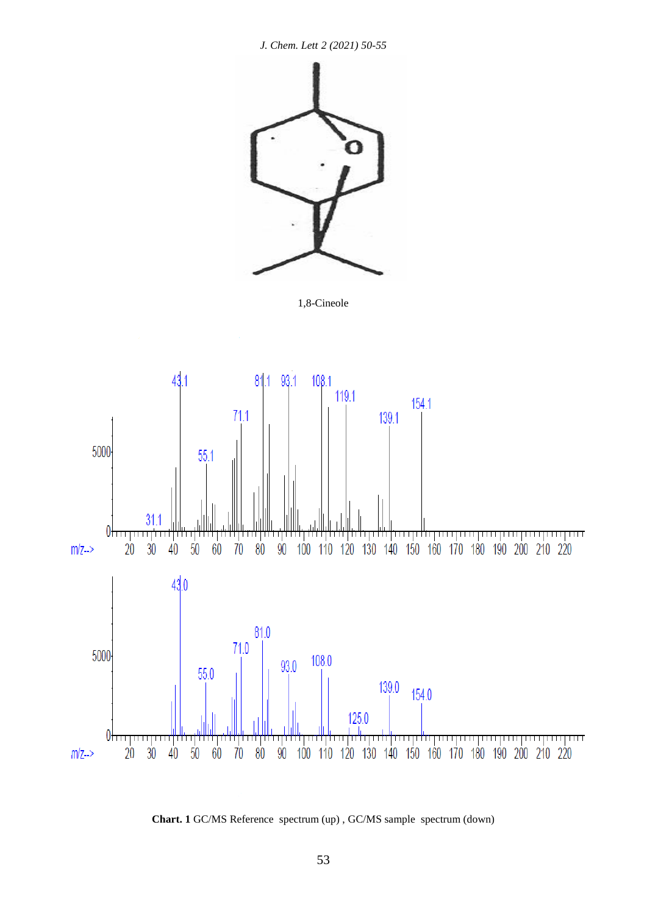

1,8-Cineole



**Chart. 1** GC/MS Reference spectrum (up) , GC/MS sample spectrum (down)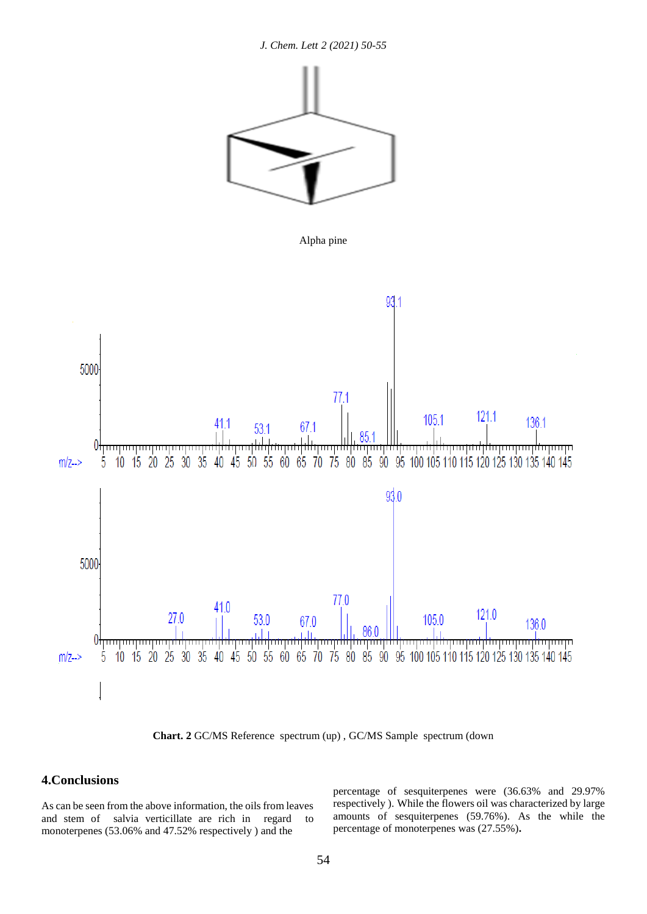*J. Chem. Lett 2 (2021) 50-55*



Alpha pine



**Chart. 2** GC/MS Reference spectrum (up) , GC/MS Sample spectrum (down

# **4.Conclusions**

As can be seen from the above information, the oils from leaves and stem of salvia verticillate are rich in regard to monoterpenes (53.06% and 47.52% respectively ) and the

percentage of sesquiterpenes were (36.63% and 29.97% respectively ). While the flowers oil was characterized by large amounts of sesquiterpenes (59.76%). As the while the percentage of monoterpenes was (27.55%)**.**